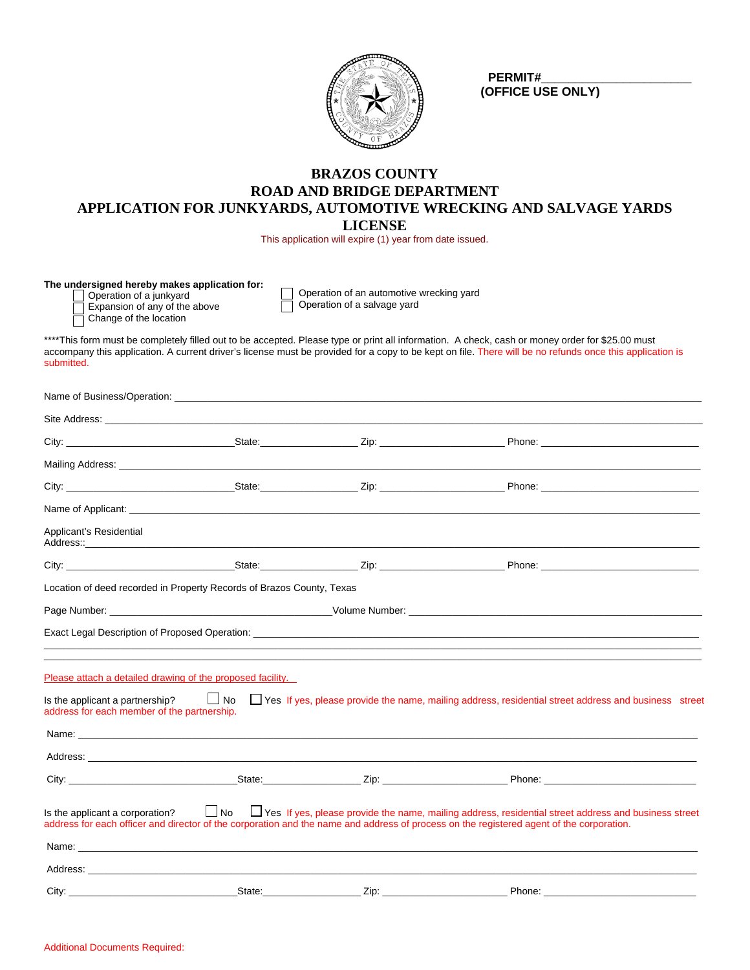

 **PERMIT#\_\_\_\_\_\_\_\_\_\_\_\_\_\_\_\_\_\_\_\_\_\_ (OFFICE USE ONLY)**

# **BRAZOS COUNTY ROAD AND BRIDGE DEPARTMENT APPLICATION FOR JUNKYARDS, AUTOMOTIVE WRECKING AND SALVAGE YARDS LICENSE**

This application will expire (1) year from date issued.

| The undersigned hereby makes application for: |              |
|-----------------------------------------------|--------------|
| Operation of a junkyard                       | $\Box$ Opera |

Expansion of any of the above

Change of the location

ation of an automotive wrecking yard  $\overline{\Box}$  Operation of a salvage yard

\*\*\*\*This form must be completely filled out to be accepted. Please type or print all information. A check, cash or money order for \$25.00 must accompany this application. A current driver's license must be provided for a copy to be kept on file. There will be no refunds once this application is submitted.

| Applicant's Residential                     |                                                                       |                                                                                                                                                                                                                                                                                                   |  |
|---------------------------------------------|-----------------------------------------------------------------------|---------------------------------------------------------------------------------------------------------------------------------------------------------------------------------------------------------------------------------------------------------------------------------------------------|--|
|                                             |                                                                       |                                                                                                                                                                                                                                                                                                   |  |
|                                             | Location of deed recorded in Property Records of Brazos County, Texas |                                                                                                                                                                                                                                                                                                   |  |
|                                             |                                                                       |                                                                                                                                                                                                                                                                                                   |  |
|                                             |                                                                       |                                                                                                                                                                                                                                                                                                   |  |
|                                             |                                                                       |                                                                                                                                                                                                                                                                                                   |  |
|                                             | Please attach a detailed drawing of the proposed facility.            |                                                                                                                                                                                                                                                                                                   |  |
| address for each member of the partnership. |                                                                       | Is the applicant a partnership? $\Box$ No $\Box$ Yes If yes, please provide the name, mailing address, residential street address and business street                                                                                                                                             |  |
|                                             |                                                                       |                                                                                                                                                                                                                                                                                                   |  |
|                                             |                                                                       |                                                                                                                                                                                                                                                                                                   |  |
|                                             |                                                                       |                                                                                                                                                                                                                                                                                                   |  |
|                                             |                                                                       | Is the applicant a corporation? $\Box$ No $\Box$ Yes If yes, please provide the name, mailing address, residential street address and business street<br>address for each officer and director of the corporation and the name and address of process on the registered agent of the corporation. |  |
|                                             |                                                                       |                                                                                                                                                                                                                                                                                                   |  |
|                                             |                                                                       |                                                                                                                                                                                                                                                                                                   |  |
|                                             |                                                                       |                                                                                                                                                                                                                                                                                                   |  |